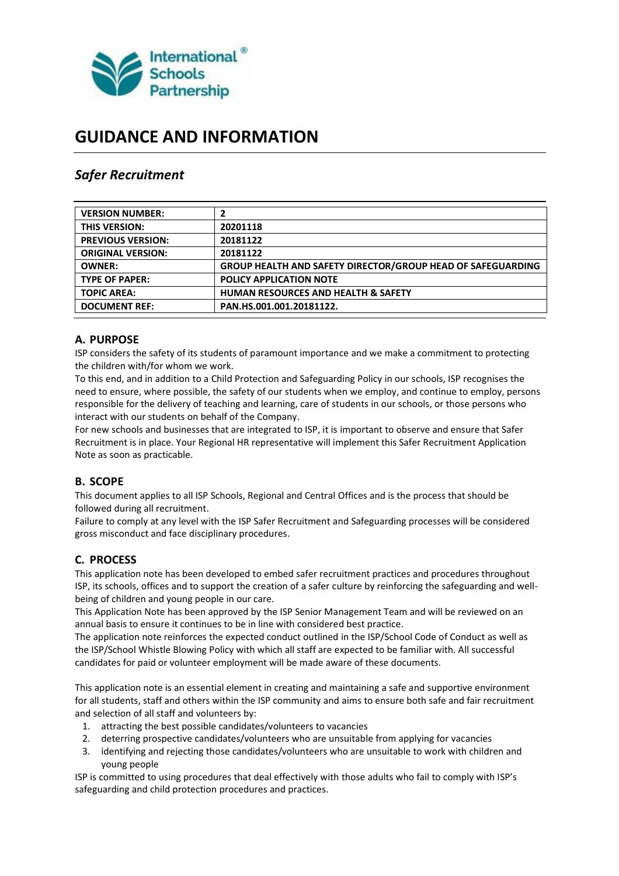

# **GUIDANCE AND INFORMATION**

# *Safer Recruitment*

| <b>VERSION NUMBER:</b>   |                                                             |
|--------------------------|-------------------------------------------------------------|
| <b>THIS VERSION:</b>     | 20201118                                                    |
| <b>PREVIOUS VERSION:</b> | 20181122                                                    |
| <b>ORIGINAL VERSION:</b> | 20181122                                                    |
| <b>OWNER:</b>            | GROUP HEALTH AND SAFETY DIRECTOR/GROUP HEAD OF SAFEGUARDING |
| <b>TYPE OF PAPER:</b>    | <b>POLICY APPLICATION NOTE</b>                              |
| <b>TOPIC AREA:</b>       | <b>HUMAN RESOURCES AND HEALTH &amp; SAFETY</b>              |
| <b>DOCUMENT REF:</b>     | PAN.HS.001.001.20181122.                                    |

# **A. PURPOSE**

ISP considers the safety of its students of paramount importance and we make a commitment to protecting the children with/for whom we work.

To this end, and in addition to a Child Protection and Safeguarding Policy in our schools, ISP recognises the need to ensure, where possible, the safety of our students when we employ, and continue to employ, persons responsible for the delivery of teaching and learning, care of students in our schools, or those persons who interact with our students on behalf of the Company.

For new schools and businesses that are integrated to ISP, it is important to observe and ensure that Safer Recruitment is in place. Your Regional HR representative will implement this Safer Recruitment Application Note as soon as practicable.

# **B. SCOPE**

This document applies to all ISP Schools, Regional and Central Offices and is the process that should be followed during all recruitment.

Failure to comply at any level with the ISP Safer Recruitment and Safeguarding processes will be considered gross misconduct and face disciplinary procedures.

# **C. PROCESS**

This application note has been developed to embed safer recruitment practices and procedures throughout ISP, its schools, offices and to support the creation of a safer culture by reinforcing the safeguarding and wellbeing of children and young people in our care.

This Application Note has been approved by the ISP Senior Management Team and will be reviewed on an annual basis to ensure it continues to be in line with considered best practice.

The application note reinforces the expected conduct outlined in the ISP/School Code of Conduct as well as the ISP/School Whistle Blowing Policy with which all staff are expected to be familiar with. All successful candidates for paid or volunteer employment will be made aware of these documents.

This application note is an essential element in creating and maintaining a safe and supportive environment for all students, staff and others within the ISP community and aims to ensure both safe and fair recruitment and selection of all staff and volunteers by:

- 1. attracting the best possible candidates/volunteers to vacancies
- 2. deterring prospective candidates/volunteers who are unsuitable from applying for vacancies
- 3. identifying and rejecting those candidates/volunteers who are unsuitable to work with children and young people

ISP is committed to using procedures that deal effectively with those adults who fail to comply with ISP's safeguarding and child protection procedures and practices.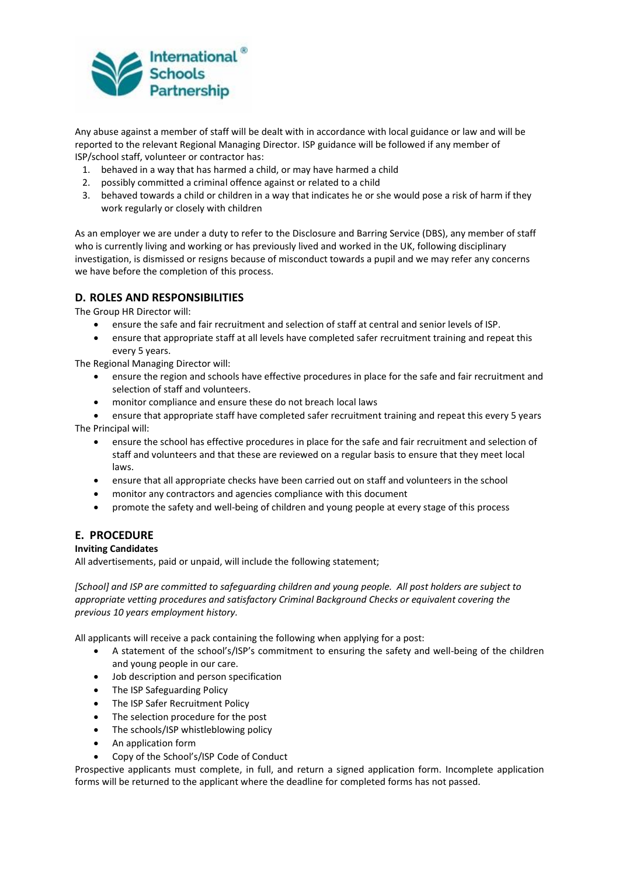

Any abuse against a member of staff will be dealt with in accordance with local guidance or law and will be reported to the relevant Regional Managing Director. ISP guidance will be followed if any member of ISP/school staff, volunteer or contractor has:

- 1. behaved in a way that has harmed a child, or may have harmed a child
- 2. possibly committed a criminal offence against or related to a child
- 3. behaved towards a child or children in a way that indicates he or she would pose a risk of harm if they work regularly or closely with children

As an employer we are under a duty to refer to the Disclosure and Barring Service (DBS), any member of staff who is currently living and working or has previously lived and worked in the UK, following disciplinary investigation, is dismissed or resigns because of misconduct towards a pupil and we may refer any concerns we have before the completion of this process.

# **D. ROLES AND RESPONSIBILITIES**

The Group HR Director will:

- ensure the safe and fair recruitment and selection of staff at central and senior levels of ISP.
- ensure that appropriate staff at all levels have completed safer recruitment training and repeat this every 5 years.

The Regional Managing Director will:

- ensure the region and schools have effective procedures in place for the safe and fair recruitment and selection of staff and volunteers.
- monitor compliance and ensure these do not breach local laws
- ensure that appropriate staff have completed safer recruitment training and repeat this every 5 years The Principal will:
	- ensure the school has effective procedures in place for the safe and fair recruitment and selection of staff and volunteers and that these are reviewed on a regular basis to ensure that they meet local laws.
	- ensure that all appropriate checks have been carried out on staff and volunteers in the school
	- monitor any contractors and agencies compliance with this document
	- promote the safety and well-being of children and young people at every stage of this process

### **E. PROCEDURE**

#### **Inviting Candidates**

All advertisements, paid or unpaid, will include the following statement;

*[School] and ISP are committed to safeguarding children and young people. All post holders are subject to appropriate vetting procedures and satisfactory Criminal Background Checks or equivalent covering the previous 10 years employment history.*

All applicants will receive a pack containing the following when applying for a post:

- A statement of the school's/ISP's commitment to ensuring the safety and well-being of the children and young people in our care.
- Job description and person specification
- The ISP Safeguarding Policy
- The ISP Safer Recruitment Policy
- The selection procedure for the post
- The schools/ISP whistleblowing policy
- An application form
- Copy of the School's/ISP Code of Conduct

Prospective applicants must complete, in full, and return a signed application form. Incomplete application forms will be returned to the applicant where the deadline for completed forms has not passed.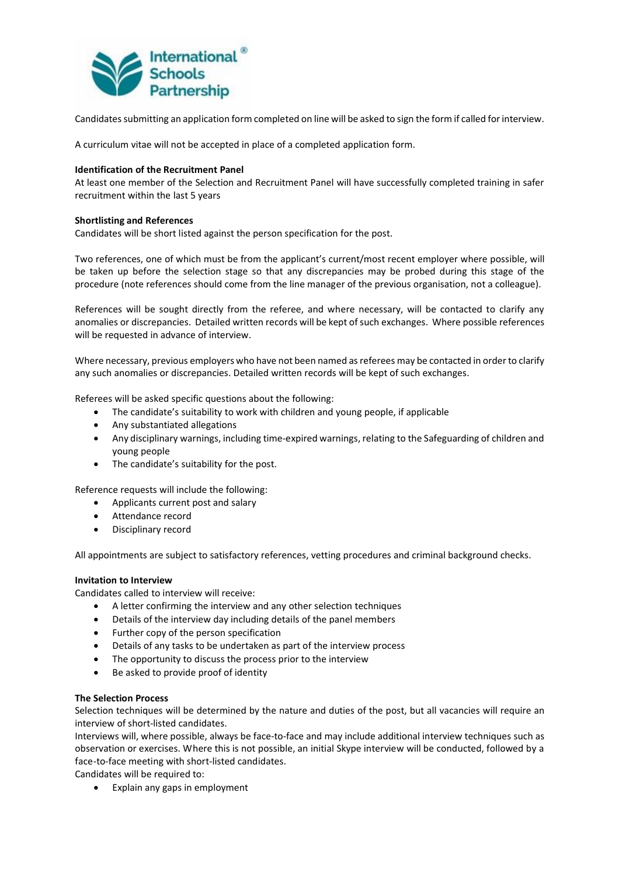

Candidates submitting an application form completed on line will be asked to sign the form if called for interview.

A curriculum vitae will not be accepted in place of a completed application form.

#### **Identification of the Recruitment Panel**

At least one member of the Selection and Recruitment Panel will have successfully completed training in safer recruitment within the last 5 years

#### **Shortlisting and References**

Candidates will be short listed against the person specification for the post.

Two references, one of which must be from the applicant's current/most recent employer where possible, will be taken up before the selection stage so that any discrepancies may be probed during this stage of the procedure (note references should come from the line manager of the previous organisation, not a colleague).

References will be sought directly from the referee, and where necessary, will be contacted to clarify any anomalies or discrepancies. Detailed written records will be kept of such exchanges. Where possible references will be requested in advance of interview.

Where necessary, previous employers who have not been named as referees may be contacted in order to clarify any such anomalies or discrepancies. Detailed written records will be kept of such exchanges.

Referees will be asked specific questions about the following:

- The candidate's suitability to work with children and young people, if applicable
- Any substantiated allegations
- Any disciplinary warnings, including time-expired warnings, relating to the Safeguarding of children and young people
- The candidate's suitability for the post.

Reference requests will include the following:

- Applicants current post and salary
- Attendance record
- Disciplinary record

All appointments are subject to satisfactory references, vetting procedures and criminal background checks.

#### **Invitation to Interview**

Candidates called to interview will receive:

- A letter confirming the interview and any other selection techniques
- Details of the interview day including details of the panel members
- Further copy of the person specification
- Details of any tasks to be undertaken as part of the interview process
- The opportunity to discuss the process prior to the interview
- Be asked to provide proof of identity

#### **The Selection Process**

Selection techniques will be determined by the nature and duties of the post, but all vacancies will require an interview of short-listed candidates.

Interviews will, where possible, always be face-to-face and may include additional interview techniques such as observation or exercises. Where this is not possible, an initial Skype interview will be conducted, followed by a face-to-face meeting with short-listed candidates.

Candidates will be required to:

Explain any gaps in employment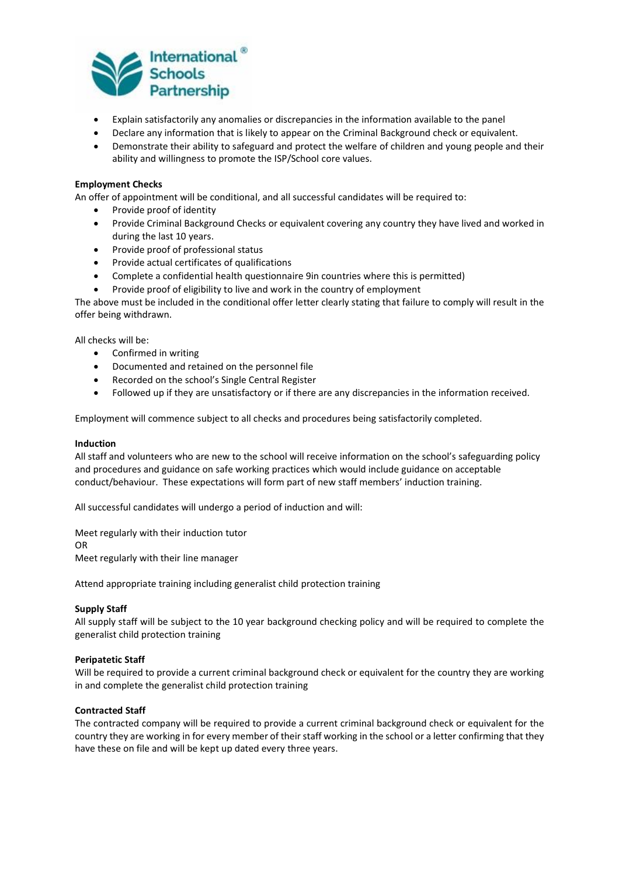

- Explain satisfactorily any anomalies or discrepancies in the information available to the panel
- Declare any information that is likely to appear on the Criminal Background check or equivalent.
- Demonstrate their ability to safeguard and protect the welfare of children and young people and their ability and willingness to promote the ISP/School core values.

#### **Employment Checks**

An offer of appointment will be conditional, and all successful candidates will be required to:

- Provide proof of identity
- Provide Criminal Background Checks or equivalent covering any country they have lived and worked in during the last 10 years.
- Provide proof of professional status
- Provide actual certificates of qualifications
- Complete a confidential health questionnaire 9in countries where this is permitted)
- Provide proof of eligibility to live and work in the country of employment

The above must be included in the conditional offer letter clearly stating that failure to comply will result in the offer being withdrawn.

All checks will be:

- Confirmed in writing
- Documented and retained on the personnel file
- Recorded on the school's Single Central Register
- Followed up if they are unsatisfactory or if there are any discrepancies in the information received.

Employment will commence subject to all checks and procedures being satisfactorily completed.

#### **Induction**

All staff and volunteers who are new to the school will receive information on the school's safeguarding policy and procedures and guidance on safe working practices which would include guidance on acceptable conduct/behaviour. These expectations will form part of new staff members' induction training.

All successful candidates will undergo a period of induction and will:

Meet regularly with their induction tutor OR Meet regularly with their line manager

Attend appropriate training including generalist child protection training

#### **Supply Staff**

All supply staff will be subject to the 10 year background checking policy and will be required to complete the generalist child protection training

#### **Peripatetic Staff**

Will be required to provide a current criminal background check or equivalent for the country they are working in and complete the generalist child protection training

#### **Contracted Staff**

The contracted company will be required to provide a current criminal background check or equivalent for the country they are working in for every member of their staff working in the school or a letter confirming that they have these on file and will be kept up dated every three years.